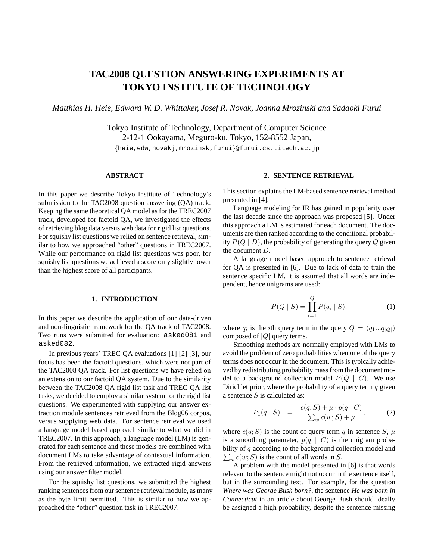# **TAC2008 QUESTION ANSWERING EXPERIMENTS AT TOKYO INSTITUTE OF TECHNOLOGY**

*Matthias H. Heie, Edward W. D. Whittaker, Josef R. Novak, Joanna Mrozinski and Sadaoki Furui*

Tokyo Institute of Technology, Department of Computer Science 2-12-1 Ookayama, Meguro-ku, Tokyo, 152-8552 Japan, {heie,edw,novakj,mrozinsk,furui}@furui.cs.titech.ac.jp

## **ABSTRACT**

In this paper we describe Tokyo Institute of Technology's submission to the TAC2008 question answering (QA) track. Keeping the same theoretical QA model as for the TREC2007 track, developed for factoid QA, we investigated the effects of retrieving blog data versus web data for rigid list questions. For squishy list questions we relied on sentence retrieval, similar to how we approached "other" questions in TREC2007. While our performance on rigid list questions was poor, for squishy list questions we achieved a score only slightly lower than the highest score of all participants.

# **1. INTRODUCTION**

In this paper we describe the application of our data-driven and non-linguistic framework for the QA track of TAC2008. Two runs were submitted for evaluation: asked081 and asked082.

In previous years' TREC QA evaluations [1] [2] [3], our focus has been the factoid questions, which were not part of the TAC2008 QA track. For list questions we have relied on an extension to our factoid QA system. Due to the similarity between the TAC2008 QA rigid list task and TREC QA list tasks, we decided to employ a similar system for the rigid list questions. We experimented with supplying our answer extraction module sentences retrieved from the Blog06 corpus, versus supplying web data. For sentence retrieval we used a language model based approach similar to what we did in TREC2007. In this approach, a language model (LM) is generated for each sentence and these models are combined with document LMs to take advantage of contextual information. From the retrieved information, we extracted rigid answers using our answer filter model.

For the squishy list questions, we submitted the highest ranking sentences from our sentence retrieval module, as many as the byte limit permitted. This is similar to how we approached the "other" question task in TREC2007.

# **2. SENTENCE RETRIEVAL**

This section explains the LM-based sentence retrieval method presented in [4].

Language modeling for IR has gained in popularity over the last decade since the approach was proposed [5]. Under this approach a LM is estimated for each document. The documents are then ranked according to the conditional probability  $P(Q | D)$ , the probability of generating the query Q given the document D.

A language model based approach to sentence retrieval for QA is presented in [6]. Due to lack of data to train the sentence specific LM, it is assumed that all words are independent, hence unigrams are used:

$$
P(Q \mid S) = \prod_{i=1}^{|Q|} P(q_i \mid S), \tag{1}
$$

where  $q_i$  is the *i*th query term in the query  $Q = (q_1...q_{|Q|})$ composed of  $|Q|$  query terms.

Smoothing methods are normally employed with LMs to avoid the problem of zero probabilities when one of the query terms does not occur in the document. This is typically achieved by redistributing probability mass from the document model to a background collection model  $P(Q \mid C)$ . We use Dirichlet prior, where the probability of a query term  $q$  given a sentence  $S$  is calculated as:

$$
P_1(q \mid S) = \frac{c(q;S) + \mu \cdot p(q \mid C)}{\sum_{w} c(w;S) + \mu}, \tag{2}
$$

where  $c(q; S)$  is the count of query term q in sentence S,  $\mu$ is a smoothing parameter,  $p(q \mid C)$  is the unigram proba- $\sum_{w} c(w; S)$  is the count of all words in S. bility of q according to the background collection model and

A problem with the model presented in [6] is that words relevant to the sentence might not occur in the sentence itself, but in the surrounding text. For example, for the question *Where was George Bush born?*, the sentence *He was born in Connecticut* in an article about George Bush should ideally be assigned a high probability, despite the sentence missing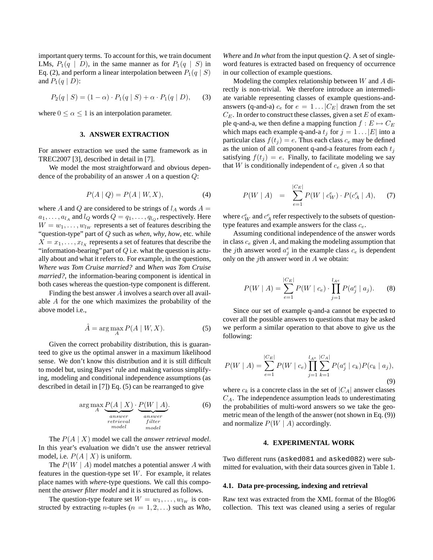important query terms. To account for this, we train document LMs,  $P_1(q \mid D)$ , in the same manner as for  $P_1(q \mid S)$  in Eq. (2), and perform a linear interpolation between  $P_1(q \mid S)$ and  $P_1(q | D)$ :

$$
P_2(q | S) = (1 - \alpha) \cdot P_1(q | S) + \alpha \cdot P_1(q | D), \quad (3)
$$

where  $0 \le \alpha \le 1$  is an interpolation parameter.

#### **3. ANSWER EXTRACTION**

For answer extraction we used the same framework as in TREC2007 [3], described in detail in [7].

We model the most straightforward and obvious dependence of the probability of an answer A on a question  $Q$ :

$$
P(A \mid Q) = P(A \mid W, X), \tag{4}
$$

where A and Q are considered to be strings of  $l_A$  words  $A =$  $a_1, \ldots, a_{l_A}$  and  $l_Q$  words  $Q = q_1, \ldots, q_{l_Q}$ , respectively. Here  $W = w_1, \dots, w_{lw}$  represents a set of features describing the "question-type" part of Q such as *when*, *why*, *how*, etc. while  $X = x_1, \ldots, x_{l_x}$  represents a set of features that describe the "information-bearing" part of  $Q$  i.e. what the question is actually about and what it refers to. For example, in the questions, *Where was Tom Cruise married?* and *When was Tom Cruise married?*, the information-bearing component is identical in both cases whereas the question-type component is different.

Finding the best answer  $\hat{A}$  involves a search over all available A for the one which maximizes the probability of the above model i.e.,

$$
\hat{A} = \arg\max_{A} P(A \mid W, X). \tag{5}
$$

Given the correct probability distribution, this is guaranteed to give us the optimal answer in a maximum likelihood sense. We don't know this distribution and it is still difficult to model but, using Bayes' rule and making various simplifying, modeling and conditional independence assumptions (as described in detail in [7]) Eq. (5) can be rearranged to give

$$
\arg\max_{A} \underbrace{P(A \mid X)}_{\substack{answer \atop retrieval}} \cdot \underbrace{P(W \mid A)}_{\substack{answer \atop filter}}.
$$
 (6)

The P(A | X) model we call the *answer retrieval model*. In this year's evaluation we didn't use the answer retrieval model, i.e.  $P(A | X)$  is uniform.

The  $P(W \mid A)$  model matches a potential answer A with features in the question-type set  $W$ . For example, it relates place names with *where*-type questions. We call this component the *answer filter model* and it is structured as follows.

The question-type feature set  $W = w_1, \dots, w_{lw}$  is constructed by extracting *n*-tuples ( $n = 1, 2, \ldots$ ) such as *Who*,

*Where* and *In what* from the input question Q. A set of singleword features is extracted based on frequency of occurrence in our collection of example questions.

Modeling the complex relationship between  $W$  and  $A$  directly is non-trivial. We therefore introduce an intermediate variable representing classes of example questions-andanswers (q-and-a)  $c_e$  for  $e = 1 \dots |C_E|$  drawn from the set  $C_E$ . In order to construct these classes, given a set E of example q-and-a, we then define a mapping function  $f : E \mapsto C_E$ which maps each example q-and-a  $t_j$  for  $j = 1 \dots |E|$  into a particular class  $f(t_i) = e$ . Thus each class  $c_e$  may be defined as the union of all component q-and-a features from each  $t_i$ satisfying  $f(t_i) = e$ . Finally, to facilitate modeling we say that  $W$  is conditionally independent of  $c_e$  given  $A$  so that

$$
P(W \mid A) = \sum_{e=1}^{|C_E|} P(W \mid c_W^e) \cdot P(c_A^e \mid A), \quad (7)
$$

where  $c_W^e$  and  $c_A^e$  refer respectively to the subsets of questiontype features and example answers for the class  $c_e$ .

Assuming conditional independence of the answer words in class  $c_e$  given A, and making the modeling assumption that the *j*th answer word  $a_j^e$  in the example class  $c_e$  is dependent only on the *j*th answer word in  $A$  we obtain:

$$
P(W \mid A) = \sum_{e=1}^{|C_E|} P(W \mid c_e) \cdot \prod_{j=1}^{l_{A^e}} P(a_j^e \mid a_j).
$$
 (8)

Since our set of example q-and-a cannot be expected to cover all the possible answers to questions that may be asked we perform a similar operation to that above to give us the following:

$$
P(W \mid A) = \sum_{e=1}^{|C_E|} P(W \mid c_e) \prod_{j=1}^{l_{A^e}} \sum_{k=1}^{|C_A|} P(a_j^e \mid c_k) P(c_k \mid a_j),
$$
\n(9)

where  $c_k$  is a concrete class in the set of  $|C_A|$  answer classes  $C_A$ . The independence assumption leads to underestimating the probabilities of multi-word answers so we take the geometric mean of the length of the answer (not shown in Eq. (9)) and normalize  $P(W | A)$  accordingly.

# **4. EXPERIMENTAL WORK**

Two different runs (asked081 and asked082) were submitted for evaluation, with their data sources given in Table 1.

## **4.1. Data pre-processing, indexing and retrieval**

Raw text was extracted from the XML format of the Blog06 collection. This text was cleaned using a series of regular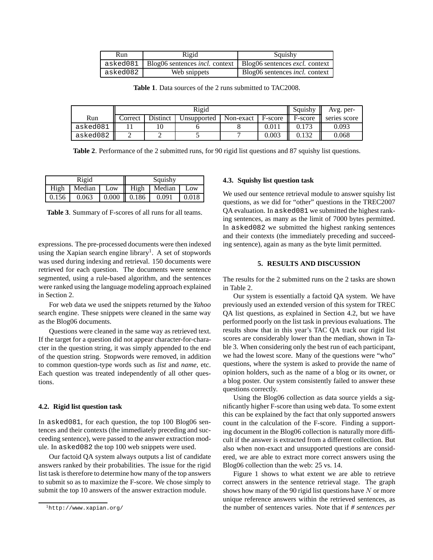| Run      | Rigid                                                                                    | Squishy                               |  |  |
|----------|------------------------------------------------------------------------------------------|---------------------------------------|--|--|
|          | asked081   Blog06 sentences <i>incl.</i> context   Blog06 sentences <i>excl.</i> context |                                       |  |  |
| asked082 | Web snippets                                                                             | Blog06 sentences <i>incl.</i> context |  |  |

**Table 1**. Data sources of the 2 runs submitted to TAC2008.

|          | Rigid   |          |             |             |         | Squishy | Avg. per-    |
|----------|---------|----------|-------------|-------------|---------|---------|--------------|
| Run      | Correct | Distinct | Unsupported | Non-exact 1 | F-score | F-score | series score |
| asked081 |         |          |             |             | 0.011   |         | 0.093        |
| asked082 |         |          |             |             | 0.003   |         | 0.068        |

**Table 2**. Performance of the 2 submitted runs, for 90 rigid list questions and 87 squishy list questions.

| Rigid |  |        | Squishy |               |        |       |
|-------|--|--------|---------|---------------|--------|-------|
| High  |  | Median | Low     | High          | Median | Low   |
| 0.156 |  | 0.063  |         | $0.000$ 0.186 | 0.091  | 0.018 |

**Table 3**. Summary of F-scores of all runs for all teams.

expressions. The pre-processed documents were then indexed using the Xapian search engine library<sup>1</sup>. A set of stopwords was used during indexing and retrieval. 150 documents were retrieved for each question. The documents were sentence segmented, using a rule-based algorithm, and the sentences were ranked using the language modeling approach explained in Section 2.

For web data we used the snippets returned by the *Yahoo* search engine. These snippets were cleaned in the same way as the Blog06 documents.

Questions were cleaned in the same way as retrieved text. If the target for a question did not appear character-for-character in the question string, it was simply appended to the end of the question string. Stopwords were removed, in addition to common question-type words such as *list* and *name*, etc. Each question was treated independently of all other questions.

#### **4.2. Rigid list question task**

In asked081, for each question, the top 100 Blog06 sentences and their contexts (the immediately preceding and succeeding sentence), were passed to the answer extraction module. In asked082 the top 100 web snippets were used.

Our factoid QA system always outputs a list of candidate answers ranked by their probabilities. The issue for the rigid list task is therefore to determine how many of the top answers to submit so as to maximize the F-score. We chose simply to submit the top 10 answers of the answer extraction module.

#### **4.3. Squishy list question task**

We used our sentence retrieval module to answer squishy list questions, as we did for "other" questions in the TREC2007 QA evaluation. In asked081 we submitted the highest ranking sentences, as many as the limit of 7000 bytes permitted. In asked082 we submitted the highest ranking sentences and their contexts (the immediately preceding and succeeding sentence), again as many as the byte limit permitted.

# **5. RESULTS AND DISCUSSION**

The results for the 2 submitted runs on the 2 tasks are shown in Table 2.

Our system is essentially a factoid QA system. We have previously used an extended version of this system for TREC QA list questions, as explained in Section 4.2, but we have performed poorly on the list task in previous evaluations. The results show that in this year's TAC QA track our rigid list scores are considerably lower than the median, shown in Table 3. When considering only the best run of each participant, we had the lowest score. Many of the questions were "who" questions, where the system is asked to provide the name of opinion holders, such as the name of a blog or its owner, or a blog poster. Our system consistently failed to answer these questions correctly.

Using the Blog06 collection as data source yields a significantly higher F-score than using web data. To some extent this can be explained by the fact that only supported answers count in the calculation of the F-score. Finding a supporting document in the Blog06 collection is naturally more difficult if the answer is extracted from a different collection. But also when non-exact and unsupported questions are considered, we are able to extract more correct answers using the Blog06 collection than the web: 25 vs. 14.

Figure 1 shows to what extent we are able to retrieve correct answers in the sentence retrieval stage. The graph shows how many of the 90 rigid list questions have  $N$  or more unique reference answers within the retrieved sentences, as the number of sentences varies. Note that if *# sentences per*

<sup>1</sup>http://www.xapian.org/